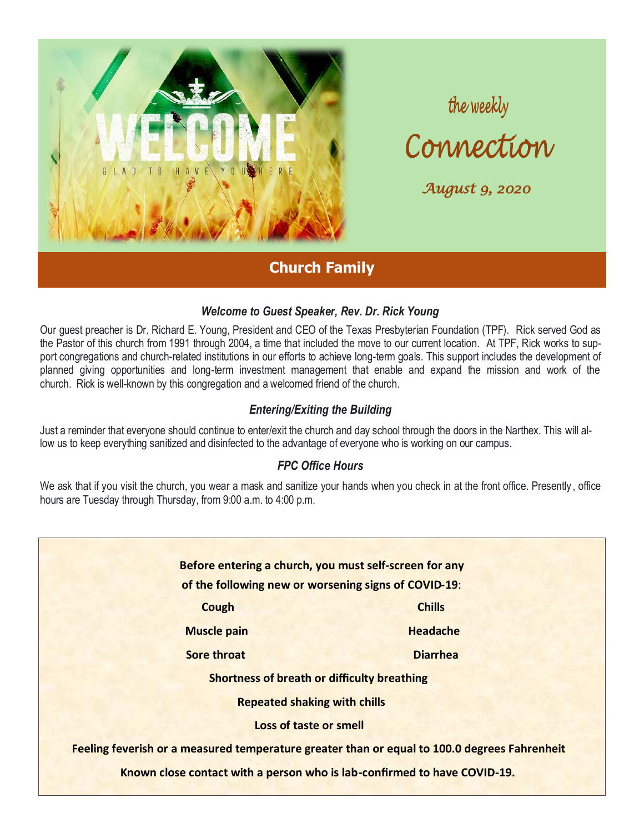

the weekly<br>Connection

*August 9, 2020* 

## **Church Family**

## *Welcome to Guest Speaker, Rev. Dr. Rick Young*

Our guest preacher is Dr. Richard E. Young, President and CEO of the Texas Presbyterian Foundation (TPF). Rick served God as the Pastor of this church from 1991 through 2004, a time that included the move to our current location. At TPF, Rick works to support congregations and church-related institutions in our efforts to achieve long-term goals. This support includes the development of planned giving opportunities and long-term investment management that enable and expand the mission and work of the church. Rick is well-known by this congregation and a welcomed friend of the church.

## *Entering/Exiting the Building*

Just a reminder that everyone should continue to enter/exit the church and day school through the doors in the Narthex. This will allow us to keep everything sanitized and disinfected to the advantage of everyone who is working on our campus.

## *FPC Office Hours*

We ask that if you visit the church, you wear a mask and sanitize your hands when you check in at the front office. Presently , office hours are Tuesday through Thursday, from 9:00 a.m. to 4:00 p.m.

**Before entering a church, you must self-screen for any of the following new or worsening signs of COVID-19**:  **Cough Cough Cough Chills Muscle pain Australian Headache Sore throat Construction Construction Construction Construction Diarrhea Shortness of breath or difficulty breathing Repeated shaking with chills Loss of taste or smell Feeling feverish or a measured temperature greater than or equal to 100.0 degrees Fahrenheit Known close contact with a person who is lab-confirmed to have COVID-19.**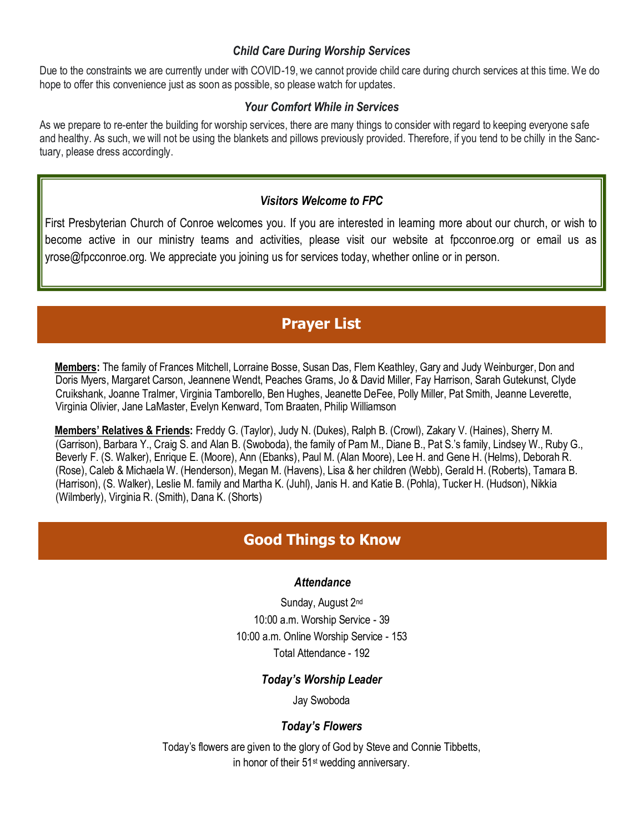### *Child Care During Worship Services*

Due to the constraints we are currently under with COVID-19, we cannot provide child care during church services at this time. We do hope to offer this convenience just as soon as possible, so please watch for updates.

### *Your Comfort While in Services*

As we prepare to re-enter the building for worship services, there are many things to consider with regard to keeping everyone safe and healthy. As such, we will not be using the blankets and pillows previously provided. Therefore, if you tend to be chilly in the Sanctuary, please dress accordingly.

### *Visitors Welcome to FPC*

First Presbyterian Church of Conroe welcomes you. If you are interested in learning more about our church, or wish to become active in our ministry teams and activities, please visit our website at fpcconroe.org or email us as yrose@fpcconroe.org. We appreciate you joining us for services today, whether online or in person.

## **Prayer List**

**Members:** The family of Frances Mitchell, Lorraine Bosse, Susan Das, Flem Keathley, Gary and Judy Weinburger, Don and Doris Myers, Margaret Carson, Jeannene Wendt, Peaches Grams, Jo & David Miller, Fay Harrison, Sarah Gutekunst, Clyde Cruikshank, Joanne Tralmer, Virginia Tamborello, Ben Hughes, Jeanette DeFee, Polly Miller, Pat Smith, Jeanne Leverette, Virginia Olivier, Jane LaMaster, Evelyn Kenward, Tom Braaten, Philip Williamson

**Members' Relatives & Friends:** Freddy G. (Taylor), Judy N. (Dukes), Ralph B. (Crowl), Zakary V. (Haines), Sherry M. (Garrison), Barbara Y., Craig S. and Alan B. (Swoboda), the family of Pam M., Diane B., Pat S.'s family, Lindsey W., Ruby G., Beverly F. (S. Walker), Enrique E. (Moore), Ann (Ebanks), Paul M. (Alan Moore), Lee H. and Gene H. (Helms), Deborah R. (Rose), Caleb & Michaela W. (Henderson), Megan M. (Havens), Lisa & her children (Webb), Gerald H. (Roberts), Tamara B. (Harrison), (S. Walker), Leslie M. family and Martha K. (Juhl), Janis H. and Katie B. (Pohla), Tucker H. (Hudson), Nikkia (Wilmberly), Virginia R. (Smith), Dana K. (Shorts)

## **Good Things to Know**

### *Attendance*

Sunday, August 2nd 10:00 a.m. Worship Service - 39 10:00 a.m. Online Worship Service - 153 Total Attendance - 192

## *Today's Worship Leader*

Jay Swoboda

## *Today's Flowers*

Today's flowers are given to the glory of God by Steve and Connie Tibbetts, in honor of their 51st wedding anniversary.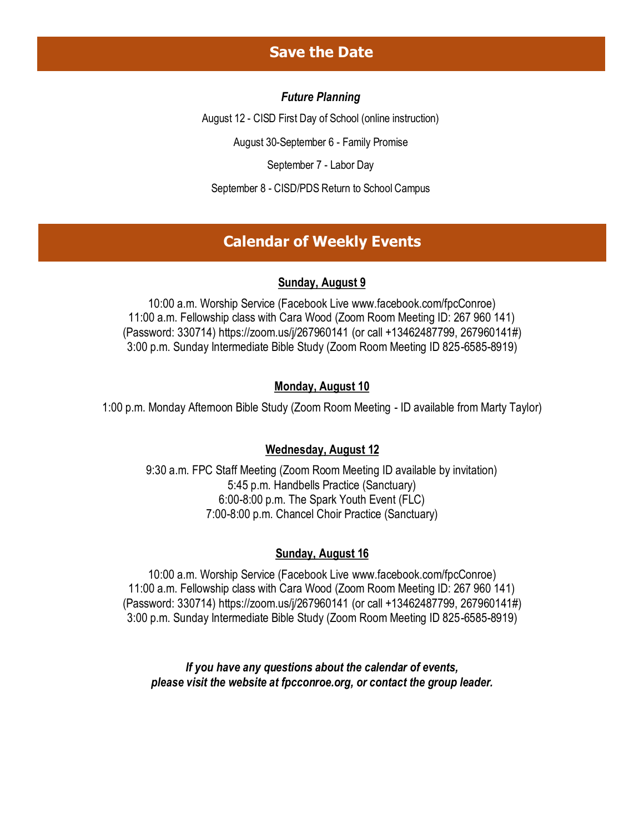## **Save the Date**

### *Future Planning*

August 12 - CISD First Day of School (online instruction)

August 30-September 6 - Family Promise

September 7 - Labor Day

September 8 - CISD/PDS Return to School Campus

## **Calendar of Weekly Events**

#### **Sunday, August 9**

10:00 a.m. Worship Service (Facebook Live [www.facebook.com/fpcConroe\)](http://www.facebook.com/fpcConroe) 11:00 a.m. Fellowship class with Cara Wood (Zoom Room Meeting ID: 267 960 141) (Password: 330714) <https://zoom.us/j/267960141> (or call +13462487799, 267960141#) 3:00 p.m. Sunday Intermediate Bible Study (Zoom Room Meeting ID 825-6585-8919)

### **Monday, August 10**

1:00 p.m. Monday Afternoon Bible Study (Zoom Room Meeting - ID available from Marty Taylor)

#### **Wednesday, August 12**

9:30 a.m. FPC Staff Meeting (Zoom Room Meeting ID available by invitation) 5:45 p.m. Handbells Practice (Sanctuary) 6:00-8:00 p.m. The Spark Youth Event (FLC) 7:00-8:00 p.m. Chancel Choir Practice (Sanctuary)

#### **Sunday, August 16**

10:00 a.m. Worship Service (Facebook Live [www.facebook.com/fpcConroe\)](http://www.facebook.com/fpcConroe) 11:00 a.m. Fellowship class with Cara Wood (Zoom Room Meeting ID: 267 960 141) (Password: 330714) <https://zoom.us/j/267960141> (or call +13462487799, 267960141#) 3:00 p.m. Sunday Intermediate Bible Study (Zoom Room Meeting ID 825-6585-8919)

*If you have any questions about the calendar of events, please visit the website at fpcconroe.org, or contact the group leader.*